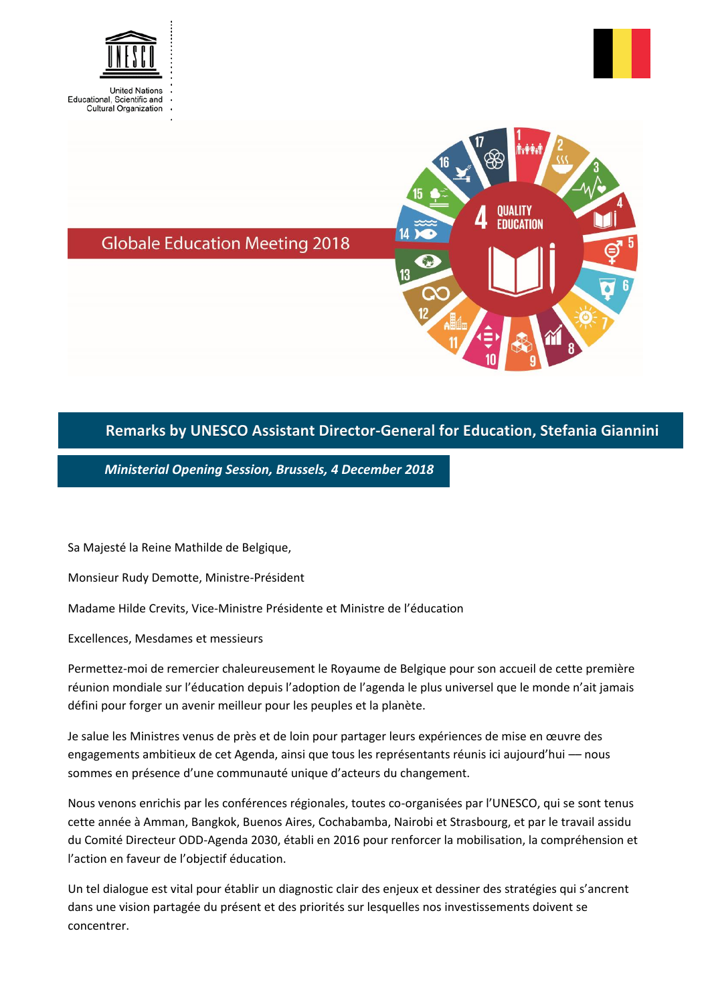



**OUALITY EDUCATION** 

**Globale Education Meeting 2018** 

## **Remarks by UNESCO Assistant Director-General for Education, Stefania Giannini**

*Ministerial Opening Session, Brussels, 4 December 2018*

Sa Majesté la Reine Mathilde de Belgique,

Monsieur Rudy Demotte, Ministre-Président

Madame Hilde Crevits, Vice-Ministre Présidente et Ministre de l'éducation

Excellences, Mesdames et messieurs

Permettez-moi de remercier chaleureusement le Royaume de Belgique pour son accueil de cette première réunion mondiale sur l'éducation depuis l'adoption de l'agenda le plus universel que le monde n'ait jamais défini pour forger un avenir meilleur pour les peuples et la planète.

Je salue les Ministres venus de près et de loin pour partager leurs expériences de mise en œuvre des engagements ambitieux de cet Agenda, ainsi que tous les représentants réunis ici aujourd'hui - nous sommes en présence d'une communauté unique d'acteurs du changement.

Nous venons enrichis par les conférences régionales, toutes co-organisées par l'UNESCO, qui se sont tenus cette année à Amman, Bangkok, Buenos Aires, Cochabamba, Nairobi et Strasbourg, et par le travail assidu du Comité Directeur ODD-Agenda 2030, établi en 2016 pour renforcer la mobilisation, la compréhension et l'action en faveur de l'objectif éducation.

Un tel dialogue est vital pour établir un diagnostic clair des enjeux et dessiner des stratégies qui s'ancrent dans une vision partagée du présent et des priorités sur lesquelles nos investissements doivent se concentrer.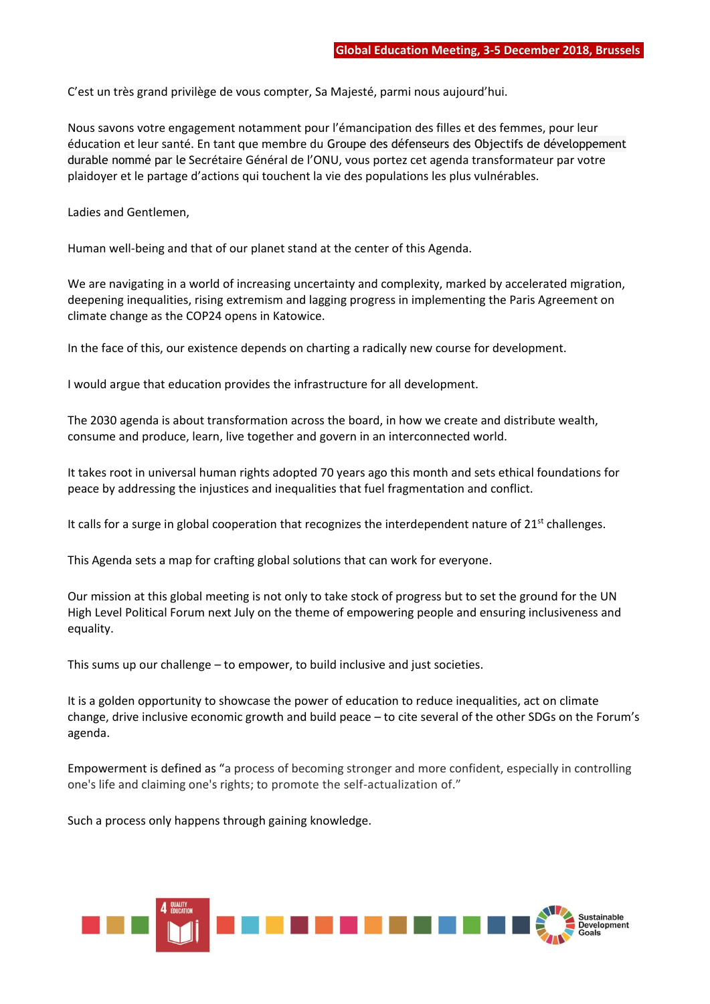C'est un très grand privilège de vous compter, Sa Majesté, parmi nous aujourd'hui.

Nous savons votre engagement notamment pour l'émancipation des filles et des femmes, pour leur éducation et leur santé. En tant que membre du Groupe des défenseurs des Objectifs de développement durable nommé par le Secrétaire Général de l'ONU, vous portez cet agenda transformateur par votre plaidoyer et le partage d'actions qui touchent la vie des populations les plus vulnérables.

Ladies and Gentlemen,

Human well-being and that of our planet stand at the center of this Agenda.

We are navigating in a world of increasing uncertainty and complexity, marked by accelerated migration, deepening inequalities, rising extremism and lagging progress in implementing the Paris Agreement on climate change as the COP24 opens in Katowice.

In the face of this, our existence depends on charting a radically new course for development.

I would argue that education provides the infrastructure for all development.

The 2030 agenda is about transformation across the board, in how we create and distribute wealth, consume and produce, learn, live together and govern in an interconnected world.

It takes root in universal human rights adopted 70 years ago this month and sets ethical foundations for peace by addressing the injustices and inequalities that fuel fragmentation and conflict.

It calls for a surge in global cooperation that recognizes the interdependent nature of  $21<sup>st</sup>$  challenges.

This Agenda sets a map for crafting global solutions that can work for everyone.

Our mission at this global meeting is not only to take stock of progress but to set the ground for the UN High Level Political Forum next July on the theme of empowering people and ensuring inclusiveness and equality.

This sums up our challenge – to empower, to build inclusive and just societies.

It is a golden opportunity to showcase the power of education to reduce inequalities, act on climate change, drive inclusive economic growth and build peace – to cite several of the other SDGs on the Forum's agenda.

Empowerment is defined as "a process of becoming stronger and more confident, especially in controlling one's life and claiming one's rights; to promote the self-actualization of."

Such a process only happens through gaining knowledge.

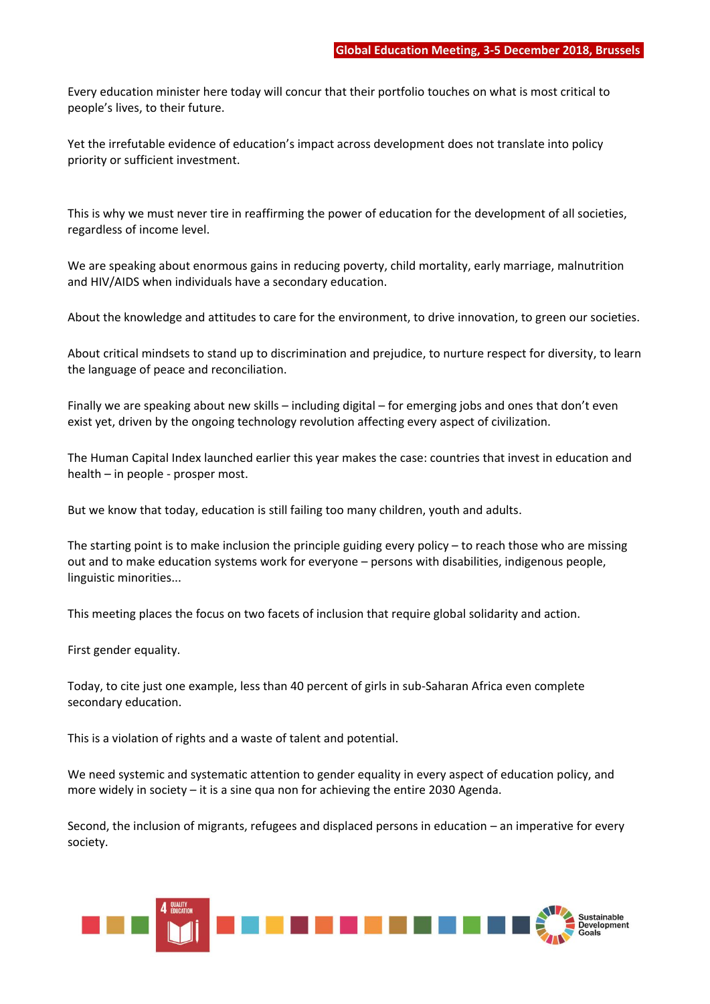Every education minister here today will concur that their portfolio touches on what is most critical to people's lives, to their future.

Yet the irrefutable evidence of education's impact across development does not translate into policy priority or sufficient investment.

This is why we must never tire in reaffirming the power of education for the development of all societies, regardless of income level.

We are speaking about enormous gains in reducing poverty, child mortality, early marriage, malnutrition and HIV/AIDS when individuals have a secondary education.

About the knowledge and attitudes to care for the environment, to drive innovation, to green our societies.

About critical mindsets to stand up to discrimination and prejudice, to nurture respect for diversity, to learn the language of peace and reconciliation.

Finally we are speaking about new skills – including digital – for emerging jobs and ones that don't even exist yet, driven by the ongoing technology revolution affecting every aspect of civilization.

The Human Capital Index launched earlier this year makes the case: countries that invest in education and health – in people - prosper most.

But we know that today, education is still failing too many children, youth and adults.

The starting point is to make inclusion the principle guiding every policy – to reach those who are missing out and to make education systems work for everyone – persons with disabilities, indigenous people, linguistic minorities...

This meeting places the focus on two facets of inclusion that require global solidarity and action.

First gender equality.

Today, to cite just one example, less than 40 percent of girls in sub-Saharan Africa even complete secondary education.

This is a violation of rights and a waste of talent and potential.

We need systemic and systematic attention to gender equality in every aspect of education policy, and more widely in society – it is a sine qua non for achieving the entire 2030 Agenda.

Second, the inclusion of migrants, refugees and displaced persons in education – an imperative for every society.

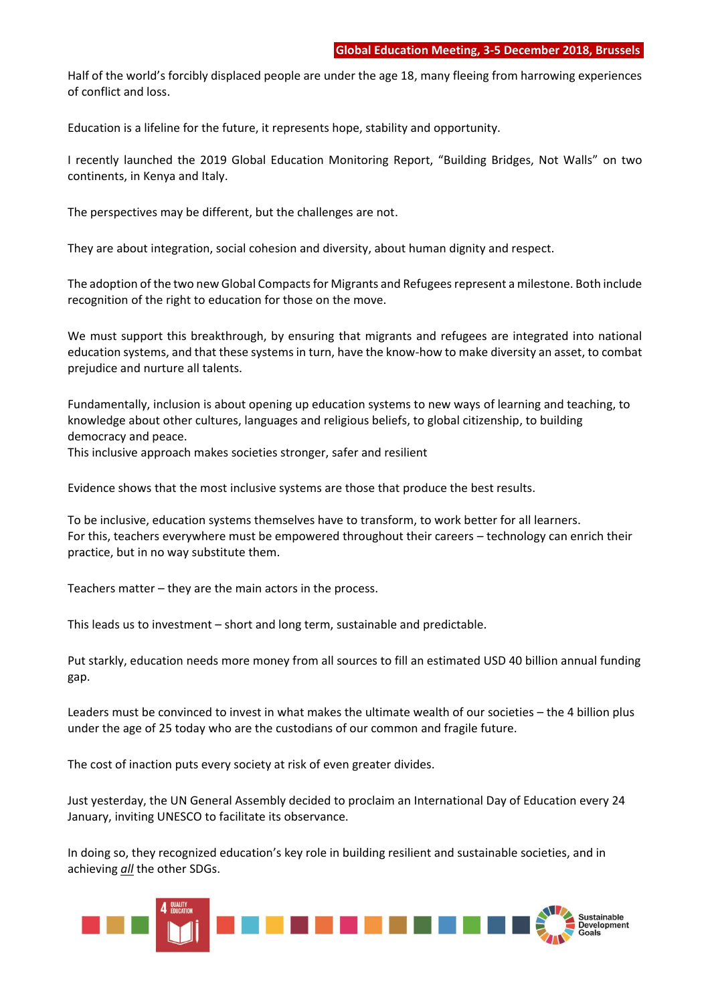Half of the world's forcibly displaced people are under the age 18, many fleeing from harrowing experiences of conflict and loss.

Education is a lifeline for the future, it represents hope, stability and opportunity.

I recently launched the 2019 Global Education Monitoring Report, "Building Bridges, Not Walls" on two continents, in Kenya and Italy.

The perspectives may be different, but the challenges are not.

They are about integration, social cohesion and diversity, about human dignity and respect.

The adoption of the two new Global Compacts for Migrants and Refugees represent a milestone. Both include recognition of the right to education for those on the move.

We must support this breakthrough, by ensuring that migrants and refugees are integrated into national education systems, and that these systems in turn, have the know-how to make diversity an asset, to combat prejudice and nurture all talents.

Fundamentally, inclusion is about opening up education systems to new ways of learning and teaching, to knowledge about other cultures, languages and religious beliefs, to global citizenship, to building democracy and peace.

This inclusive approach makes societies stronger, safer and resilient

Evidence shows that the most inclusive systems are those that produce the best results.

To be inclusive, education systems themselves have to transform, to work better for all learners. For this, teachers everywhere must be empowered throughout their careers – technology can enrich their practice, but in no way substitute them.

Teachers matter – they are the main actors in the process.

This leads us to investment – short and long term, sustainable and predictable.

Put starkly, education needs more money from all sources to fill an estimated USD 40 billion annual funding gap.

Leaders must be convinced to invest in what makes the ultimate wealth of our societies – the 4 billion plus under the age of 25 today who are the custodians of our common and fragile future.

The cost of inaction puts every society at risk of even greater divides.

Just yesterday, the UN General Assembly decided to proclaim an International Day of Education every 24 January, inviting UNESCO to facilitate its observance.

In doing so, they recognized education's key role in building resilient and sustainable societies, and in achieving *all* the other SDGs.